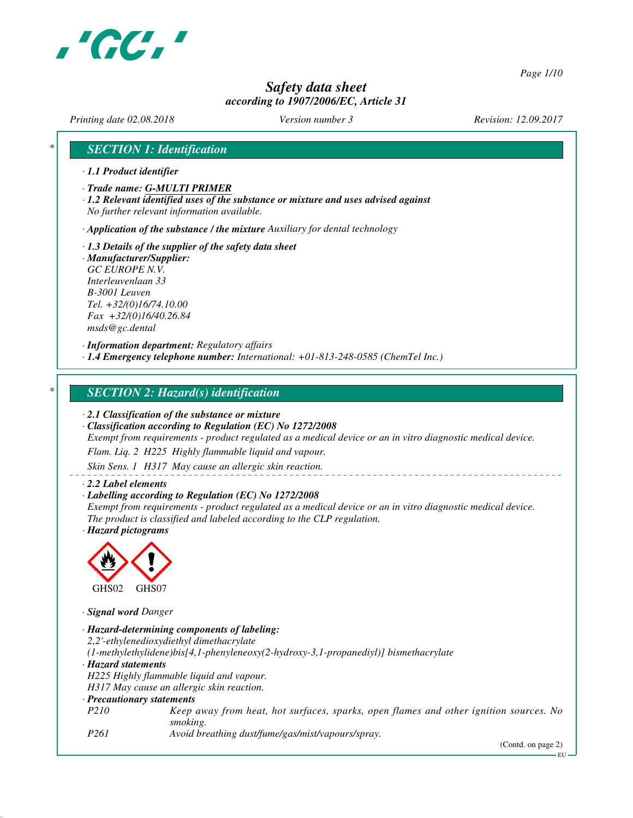

*Page 1/10*

# *Safety data sheet according to 1907/2006/EC, Article 31*

*Printing date 02.08.2018 Version number 3 Revision: 12.09.2017*

# *\* SECTION 1: Identification*

- *· 1.1 Product identifier*
- *· Trade name: G-MULTI PRIMER*
- *· 1.2 Relevant identified uses of the substance or mixture and uses advised against No further relevant information available.*

*· Application of the substance / the mixture Auxiliary for dental technology*

- *· 1.3 Details of the supplier of the safety data sheet*
- *· Manufacturer/Supplier: GC EUROPE N.V. Interleuvenlaan 33 B-3001 Leuven Tel. +32/(0)16/74.10.00 Fax +32/(0)16/40.26.84 msds@gc.dental*

*· Information department: Regulatory affairs*

*· 1.4 Emergency telephone number: International: +01-813-248-0585 (ChemTel Inc.)*

# *\* SECTION 2: Hazard(s) identification*

*· 2.1 Classification of the substance or mixture*

*· Classification according to Regulation (EC) No 1272/2008*

*Exempt from requirements - product regulated as a medical device or an in vitro diagnostic medical device.*

*Flam. Liq. 2 H225 Highly flammable liquid and vapour.*

*Skin Sens. 1 H317 May cause an allergic skin reaction.*

#### *· 2.2 Label elements*

*· Labelling according to Regulation (EC) No 1272/2008 Exempt from requirements - product regulated as a medical device or an in vitro diagnostic medical device. The product is classified and labeled according to the CLP regulation. · Hazard pictograms*



*· Signal word Danger*

|                            | · Hazard-determining components of labeling:                                                      |
|----------------------------|---------------------------------------------------------------------------------------------------|
|                            | 2,2'-ethylenedioxydiethyl dimethacrylate                                                          |
|                            | $(1$ -methylethylidene)bis[4,1-phenyleneoxy(2-hydroxy-3,1-propanediyl)] bismethacrylate           |
| · Hazard statements        |                                                                                                   |
|                            | H225 Highly flammable liquid and vapour.                                                          |
|                            | H317 May cause an allergic skin reaction.                                                         |
| · Precautionary statements |                                                                                                   |
| <i>P210</i>                | Keep away from heat, hot surfaces, sparks, open flames and other ignition sources. No<br>smoking. |
| P261                       | Avoid breathing dust/fume/gas/mist/vapours/spray.                                                 |

(Contd. on page 2)

EU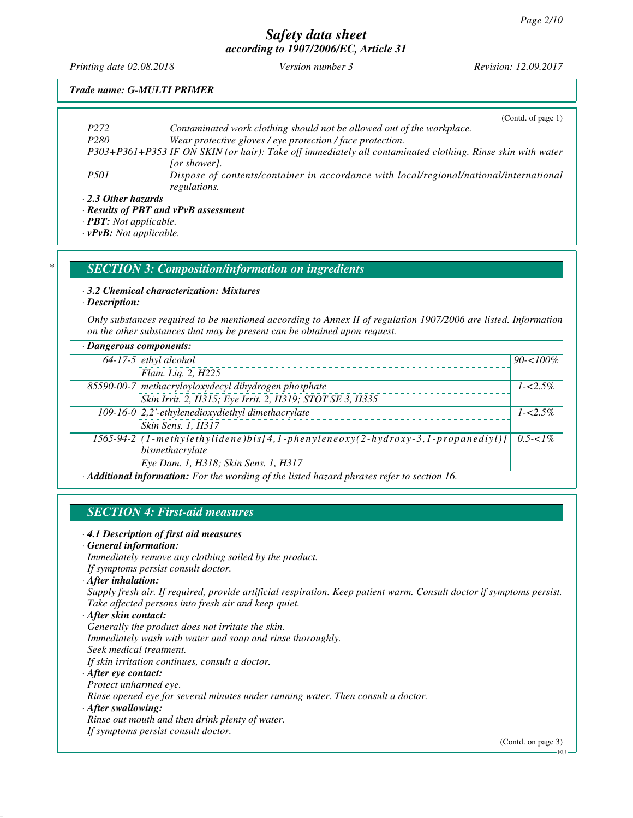*Printing date 02.08.2018 Version number 3 Revision: 12.09.2017*

#### *Trade name: G-MULTI PRIMER*

|                     | (Contd. of page $1$ )                                                                                      |
|---------------------|------------------------------------------------------------------------------------------------------------|
| P <sub>272</sub>    | Contaminated work clothing should not be allowed out of the workplace.                                     |
| P <sub>280</sub>    | Wear protective gloves / eye protection / face protection.                                                 |
|                     | P303+P361+P353 IF ON SKIN (or hair): Take off immediately all contaminated clothing. Rinse skin with water |
|                     | [or shower].                                                                                               |
| <i>P501</i>         | Dispose of contents/container in accordance with local/regional/national/international                     |
|                     | regulations.                                                                                               |
| · 2.3 Other hazards |                                                                                                            |

*· Results of PBT and vPvB assessment*

*· PBT: Not applicable.*

*· vPvB: Not applicable.*

# *\* SECTION 3: Composition/information on ingredients*

#### *· 3.2 Chemical characterization: Mixtures*

*· Description:*

*Only substances required to be mentioned according to Annex II of regulation 1907/2006 are listed. Information on the other substances that may be present can be obtained upon request.*

| · Dangerous components:                                                                                                                                                |                                                                                  |              |
|------------------------------------------------------------------------------------------------------------------------------------------------------------------------|----------------------------------------------------------------------------------|--------------|
|                                                                                                                                                                        | $64-17-5$ ethyl alcohol                                                          | $90 - 100\%$ |
|                                                                                                                                                                        | Flam. Liq. 2, H225                                                               |              |
|                                                                                                                                                                        | 85590-00-7 methacryloyloxydecyl dihydrogen phosphate                             | $1 - 2.5\%$  |
|                                                                                                                                                                        | Skin Irrit. 2, H315; Eye Irrit. 2, H319; STOT SE 3, H335                         |              |
|                                                                                                                                                                        | 109-16-0 $ 2,2$ '-ethylenedioxydiethyl dimethacrylate                            | $1 - 2.5\%$  |
|                                                                                                                                                                        | Skin Sens. 1, H317                                                               |              |
|                                                                                                                                                                        | $1565-94-2$ (1-methylethylidene)bis[4,1-phenyleneoxy(2-hydroxy-3,1-propanediyl)] | $0.5 - 1\%$  |
|                                                                                                                                                                        | bismethacrylate                                                                  |              |
|                                                                                                                                                                        | Eye Dam. 1, H318; Skin Sens. 1, H317                                             |              |
| $\lambda$ if $P(t)$ and $f(t)$ are $\lambda$ and $\lambda$ are considered in the distribution of $\lambda$ and $\lambda$ and $\lambda$ are considered in the $\lambda$ |                                                                                  |              |

*· Additional information: For the wording of the listed hazard phrases refer to section 16.*

# *SECTION 4: First-aid measures*

#### *· 4.1 Description of first aid measures*

#### *· General information:*

*Immediately remove any clothing soiled by the product. If symptoms persist consult doctor.*

*· After inhalation:*

*Supply fresh air. If required, provide artificial respiration. Keep patient warm. Consult doctor if symptoms persist. Take affected persons into fresh air and keep quiet.*

*· After skin contact:*

*Generally the product does not irritate the skin.*

*Immediately wash with water and soap and rinse thoroughly. Seek medical treatment.*

*If skin irritation continues, consult a doctor.*

#### *· After eye contact:*

*Protect unharmed eye.*

*Rinse opened eye for several minutes under running water. Then consult a doctor.*

#### *· After swallowing:*

*Rinse out mouth and then drink plenty of water.*

*If symptoms persist consult doctor.*

(Contd. on page 3)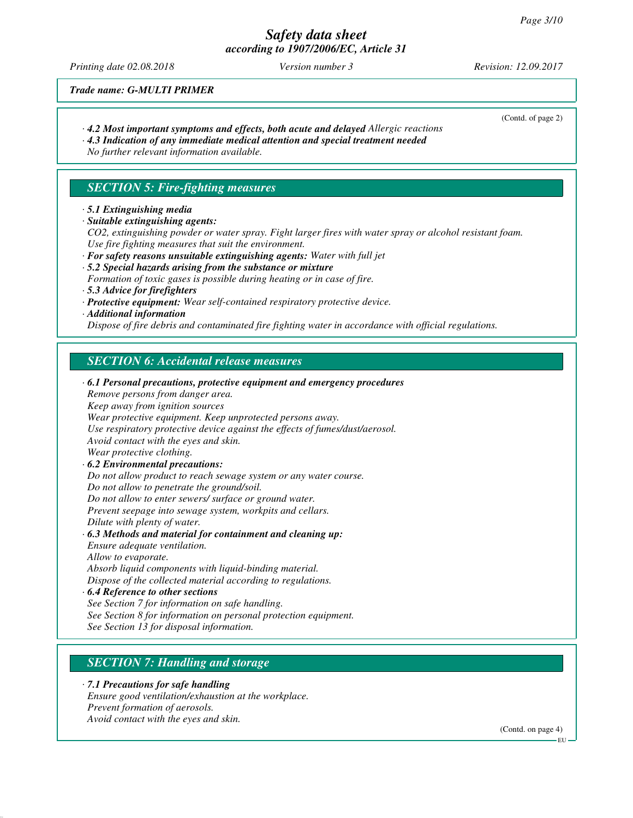*Printing date 02.08.2018 Version number 3 Revision: 12.09.2017*

(Contd. of page 2)

*Trade name: G-MULTI PRIMER*

- *· 4.2 Most important symptoms and effects, both acute and delayed Allergic reactions*
- *· 4.3 Indication of any immediate medical attention and special treatment needed*

*No further relevant information available.*

# *SECTION 5: Fire-fighting measures*

- *· 5.1 Extinguishing media*
- *· Suitable extinguishing agents:*

*CO2, extinguishing powder or water spray. Fight larger fires with water spray or alcohol resistant foam. Use fire fighting measures that suit the environment.*

- *· For safety reasons unsuitable extinguishing agents: Water with full jet*
- *· 5.2 Special hazards arising from the substance or mixture*

*Formation of toxic gases is possible during heating or in case of fire.*

- *· 5.3 Advice for firefighters*
- *· Protective equipment: Wear self-contained respiratory protective device.*
- *· Additional information*

*Dispose of fire debris and contaminated fire fighting water in accordance with official regulations.*

# *SECTION 6: Accidental release measures*

*· 6.1 Personal precautions, protective equipment and emergency procedures Remove persons from danger area. Keep away from ignition sources Wear protective equipment. Keep unprotected persons away. Use respiratory protective device against the effects of fumes/dust/aerosol. Avoid contact with the eyes and skin. Wear protective clothing. · 6.2 Environmental precautions: Do not allow product to reach sewage system or any water course. Do not allow to penetrate the ground/soil. Do not allow to enter sewers/ surface or ground water. Prevent seepage into sewage system, workpits and cellars. Dilute with plenty of water. · 6.3 Methods and material for containment and cleaning up: Ensure adequate ventilation. Allow to evaporate. Absorb liquid components with liquid-binding material. Dispose of the collected material according to regulations. · 6.4 Reference to other sections See Section 7 for information on safe handling.*

- *See Section 8 for information on personal protection equipment.*
- *See Section 13 for disposal information.*

# *SECTION 7: Handling and storage*

# *· 7.1 Precautions for safe handling*

*Ensure good ventilation/exhaustion at the workplace. Prevent formation of aerosols. Avoid contact with the eyes and skin.*

(Contd. on page 4)

EU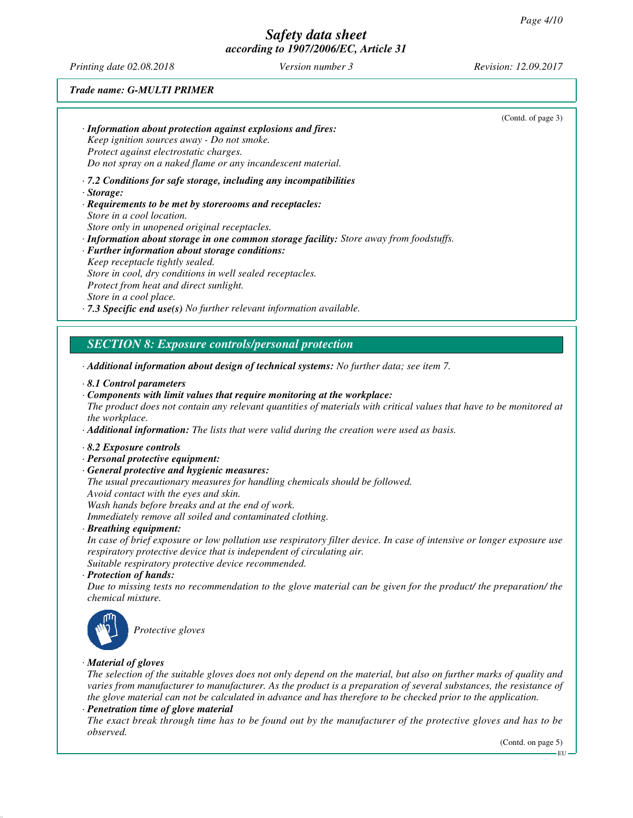*Printing date 02.08.2018 Version number 3 Revision: 12.09.2017*

#### *Trade name: G-MULTI PRIMER*

| · Information about protection against explosions and fires:<br>Keep ignition sources away - Do not smoke.<br>Protect against electrostatic charges.<br>Do not spray on a naked flame or any incandescent material.<br>$\cdot$ 7.2 Conditions for safe storage, including any incompatibilities<br>· Storage:<br>· Requirements to be met by storerooms and receptacles:<br>Store in a cool location.<br>Store only in unopened original receptacles.<br>· Information about storage in one common storage facility: Store away from foodstuffs.<br>· Further information about storage conditions:<br>Keep receptacle tightly sealed.<br>Store in cool, dry conditions in well sealed receptacles.<br>Protect from heat and direct sunlight.<br>Store in a cool place.<br>$\cdot$ 7.3 Specific end use(s) No further relevant information available.<br><b>SECTION 8: Exposure controls/personal protection</b><br>Additional information about design of technical systems: No further data; see item 7.<br>$\cdot$ 8.1 Control parameters<br>$\cdot$ Components with limit values that require monitoring at the workplace:<br>The product does not contain any relevant quantities of materials with critical values that have to be monitored at<br>the workplace.<br><b>· Additional information:</b> The lists that were valid during the creation were used as basis.<br>8.2 Exposure controls<br>· Personal protective equipment:<br>· General protective and hygienic measures:<br>The usual precautionary measures for handling chemicals should be followed.<br>Avoid contact with the eyes and skin.<br>Wash hands before breaks and at the end of work.<br>Immediately remove all soiled and contaminated clothing.<br>· Breathing equipment:<br>In case of brief exposure or low pollution use respiratory filter device. In case of intensive or longer exposure use<br>respiratory protective device that is independent of circulating air.<br>Suitable respiratory protective device recommended.<br>· Protection of hands:<br>Due to missing tests no recommendation to the glove material can be given for the product/ the preparation/ the<br>chemical mixture. | (Contd. of page 3) |
|----------------------------------------------------------------------------------------------------------------------------------------------------------------------------------------------------------------------------------------------------------------------------------------------------------------------------------------------------------------------------------------------------------------------------------------------------------------------------------------------------------------------------------------------------------------------------------------------------------------------------------------------------------------------------------------------------------------------------------------------------------------------------------------------------------------------------------------------------------------------------------------------------------------------------------------------------------------------------------------------------------------------------------------------------------------------------------------------------------------------------------------------------------------------------------------------------------------------------------------------------------------------------------------------------------------------------------------------------------------------------------------------------------------------------------------------------------------------------------------------------------------------------------------------------------------------------------------------------------------------------------------------------------------------------------------------------------------------------------------------------------------------------------------------------------------------------------------------------------------------------------------------------------------------------------------------------------------------------------------------------------------------------------------------------------------------------------------------------------------------------------------------------------------------------------------|--------------------|
|                                                                                                                                                                                                                                                                                                                                                                                                                                                                                                                                                                                                                                                                                                                                                                                                                                                                                                                                                                                                                                                                                                                                                                                                                                                                                                                                                                                                                                                                                                                                                                                                                                                                                                                                                                                                                                                                                                                                                                                                                                                                                                                                                                                        |                    |
|                                                                                                                                                                                                                                                                                                                                                                                                                                                                                                                                                                                                                                                                                                                                                                                                                                                                                                                                                                                                                                                                                                                                                                                                                                                                                                                                                                                                                                                                                                                                                                                                                                                                                                                                                                                                                                                                                                                                                                                                                                                                                                                                                                                        |                    |
|                                                                                                                                                                                                                                                                                                                                                                                                                                                                                                                                                                                                                                                                                                                                                                                                                                                                                                                                                                                                                                                                                                                                                                                                                                                                                                                                                                                                                                                                                                                                                                                                                                                                                                                                                                                                                                                                                                                                                                                                                                                                                                                                                                                        |                    |
|                                                                                                                                                                                                                                                                                                                                                                                                                                                                                                                                                                                                                                                                                                                                                                                                                                                                                                                                                                                                                                                                                                                                                                                                                                                                                                                                                                                                                                                                                                                                                                                                                                                                                                                                                                                                                                                                                                                                                                                                                                                                                                                                                                                        |                    |
|                                                                                                                                                                                                                                                                                                                                                                                                                                                                                                                                                                                                                                                                                                                                                                                                                                                                                                                                                                                                                                                                                                                                                                                                                                                                                                                                                                                                                                                                                                                                                                                                                                                                                                                                                                                                                                                                                                                                                                                                                                                                                                                                                                                        |                    |
|                                                                                                                                                                                                                                                                                                                                                                                                                                                                                                                                                                                                                                                                                                                                                                                                                                                                                                                                                                                                                                                                                                                                                                                                                                                                                                                                                                                                                                                                                                                                                                                                                                                                                                                                                                                                                                                                                                                                                                                                                                                                                                                                                                                        |                    |
|                                                                                                                                                                                                                                                                                                                                                                                                                                                                                                                                                                                                                                                                                                                                                                                                                                                                                                                                                                                                                                                                                                                                                                                                                                                                                                                                                                                                                                                                                                                                                                                                                                                                                                                                                                                                                                                                                                                                                                                                                                                                                                                                                                                        |                    |
|                                                                                                                                                                                                                                                                                                                                                                                                                                                                                                                                                                                                                                                                                                                                                                                                                                                                                                                                                                                                                                                                                                                                                                                                                                                                                                                                                                                                                                                                                                                                                                                                                                                                                                                                                                                                                                                                                                                                                                                                                                                                                                                                                                                        |                    |
|                                                                                                                                                                                                                                                                                                                                                                                                                                                                                                                                                                                                                                                                                                                                                                                                                                                                                                                                                                                                                                                                                                                                                                                                                                                                                                                                                                                                                                                                                                                                                                                                                                                                                                                                                                                                                                                                                                                                                                                                                                                                                                                                                                                        |                    |
|                                                                                                                                                                                                                                                                                                                                                                                                                                                                                                                                                                                                                                                                                                                                                                                                                                                                                                                                                                                                                                                                                                                                                                                                                                                                                                                                                                                                                                                                                                                                                                                                                                                                                                                                                                                                                                                                                                                                                                                                                                                                                                                                                                                        |                    |
|                                                                                                                                                                                                                                                                                                                                                                                                                                                                                                                                                                                                                                                                                                                                                                                                                                                                                                                                                                                                                                                                                                                                                                                                                                                                                                                                                                                                                                                                                                                                                                                                                                                                                                                                                                                                                                                                                                                                                                                                                                                                                                                                                                                        |                    |
|                                                                                                                                                                                                                                                                                                                                                                                                                                                                                                                                                                                                                                                                                                                                                                                                                                                                                                                                                                                                                                                                                                                                                                                                                                                                                                                                                                                                                                                                                                                                                                                                                                                                                                                                                                                                                                                                                                                                                                                                                                                                                                                                                                                        |                    |
|                                                                                                                                                                                                                                                                                                                                                                                                                                                                                                                                                                                                                                                                                                                                                                                                                                                                                                                                                                                                                                                                                                                                                                                                                                                                                                                                                                                                                                                                                                                                                                                                                                                                                                                                                                                                                                                                                                                                                                                                                                                                                                                                                                                        |                    |
|                                                                                                                                                                                                                                                                                                                                                                                                                                                                                                                                                                                                                                                                                                                                                                                                                                                                                                                                                                                                                                                                                                                                                                                                                                                                                                                                                                                                                                                                                                                                                                                                                                                                                                                                                                                                                                                                                                                                                                                                                                                                                                                                                                                        |                    |
|                                                                                                                                                                                                                                                                                                                                                                                                                                                                                                                                                                                                                                                                                                                                                                                                                                                                                                                                                                                                                                                                                                                                                                                                                                                                                                                                                                                                                                                                                                                                                                                                                                                                                                                                                                                                                                                                                                                                                                                                                                                                                                                                                                                        |                    |
|                                                                                                                                                                                                                                                                                                                                                                                                                                                                                                                                                                                                                                                                                                                                                                                                                                                                                                                                                                                                                                                                                                                                                                                                                                                                                                                                                                                                                                                                                                                                                                                                                                                                                                                                                                                                                                                                                                                                                                                                                                                                                                                                                                                        |                    |
|                                                                                                                                                                                                                                                                                                                                                                                                                                                                                                                                                                                                                                                                                                                                                                                                                                                                                                                                                                                                                                                                                                                                                                                                                                                                                                                                                                                                                                                                                                                                                                                                                                                                                                                                                                                                                                                                                                                                                                                                                                                                                                                                                                                        |                    |
|                                                                                                                                                                                                                                                                                                                                                                                                                                                                                                                                                                                                                                                                                                                                                                                                                                                                                                                                                                                                                                                                                                                                                                                                                                                                                                                                                                                                                                                                                                                                                                                                                                                                                                                                                                                                                                                                                                                                                                                                                                                                                                                                                                                        |                    |
|                                                                                                                                                                                                                                                                                                                                                                                                                                                                                                                                                                                                                                                                                                                                                                                                                                                                                                                                                                                                                                                                                                                                                                                                                                                                                                                                                                                                                                                                                                                                                                                                                                                                                                                                                                                                                                                                                                                                                                                                                                                                                                                                                                                        |                    |
|                                                                                                                                                                                                                                                                                                                                                                                                                                                                                                                                                                                                                                                                                                                                                                                                                                                                                                                                                                                                                                                                                                                                                                                                                                                                                                                                                                                                                                                                                                                                                                                                                                                                                                                                                                                                                                                                                                                                                                                                                                                                                                                                                                                        |                    |
|                                                                                                                                                                                                                                                                                                                                                                                                                                                                                                                                                                                                                                                                                                                                                                                                                                                                                                                                                                                                                                                                                                                                                                                                                                                                                                                                                                                                                                                                                                                                                                                                                                                                                                                                                                                                                                                                                                                                                                                                                                                                                                                                                                                        |                    |
|                                                                                                                                                                                                                                                                                                                                                                                                                                                                                                                                                                                                                                                                                                                                                                                                                                                                                                                                                                                                                                                                                                                                                                                                                                                                                                                                                                                                                                                                                                                                                                                                                                                                                                                                                                                                                                                                                                                                                                                                                                                                                                                                                                                        |                    |
|                                                                                                                                                                                                                                                                                                                                                                                                                                                                                                                                                                                                                                                                                                                                                                                                                                                                                                                                                                                                                                                                                                                                                                                                                                                                                                                                                                                                                                                                                                                                                                                                                                                                                                                                                                                                                                                                                                                                                                                                                                                                                                                                                                                        |                    |
|                                                                                                                                                                                                                                                                                                                                                                                                                                                                                                                                                                                                                                                                                                                                                                                                                                                                                                                                                                                                                                                                                                                                                                                                                                                                                                                                                                                                                                                                                                                                                                                                                                                                                                                                                                                                                                                                                                                                                                                                                                                                                                                                                                                        |                    |
|                                                                                                                                                                                                                                                                                                                                                                                                                                                                                                                                                                                                                                                                                                                                                                                                                                                                                                                                                                                                                                                                                                                                                                                                                                                                                                                                                                                                                                                                                                                                                                                                                                                                                                                                                                                                                                                                                                                                                                                                                                                                                                                                                                                        |                    |
|                                                                                                                                                                                                                                                                                                                                                                                                                                                                                                                                                                                                                                                                                                                                                                                                                                                                                                                                                                                                                                                                                                                                                                                                                                                                                                                                                                                                                                                                                                                                                                                                                                                                                                                                                                                                                                                                                                                                                                                                                                                                                                                                                                                        |                    |
|                                                                                                                                                                                                                                                                                                                                                                                                                                                                                                                                                                                                                                                                                                                                                                                                                                                                                                                                                                                                                                                                                                                                                                                                                                                                                                                                                                                                                                                                                                                                                                                                                                                                                                                                                                                                                                                                                                                                                                                                                                                                                                                                                                                        |                    |
| Protective gloves                                                                                                                                                                                                                                                                                                                                                                                                                                                                                                                                                                                                                                                                                                                                                                                                                                                                                                                                                                                                                                                                                                                                                                                                                                                                                                                                                                                                                                                                                                                                                                                                                                                                                                                                                                                                                                                                                                                                                                                                                                                                                                                                                                      |                    |
| · Material of gloves<br>The selection of the suitable gloves does not only depend on the material but also on further marks of quality and                                                                                                                                                                                                                                                                                                                                                                                                                                                                                                                                                                                                                                                                                                                                                                                                                                                                                                                                                                                                                                                                                                                                                                                                                                                                                                                                                                                                                                                                                                                                                                                                                                                                                                                                                                                                                                                                                                                                                                                                                                             |                    |

*The selection of the suitable gloves does not only depend on the material, but also on further marks of quality and varies from manufacturer to manufacturer. As the product is a preparation of several substances, the resistance of the glove material can not be calculated in advance and has therefore to be checked prior to the application.*

*· Penetration time of glove material*

*The exact break through time has to be found out by the manufacturer of the protective gloves and has to be observed.*

(Contd. on page 5)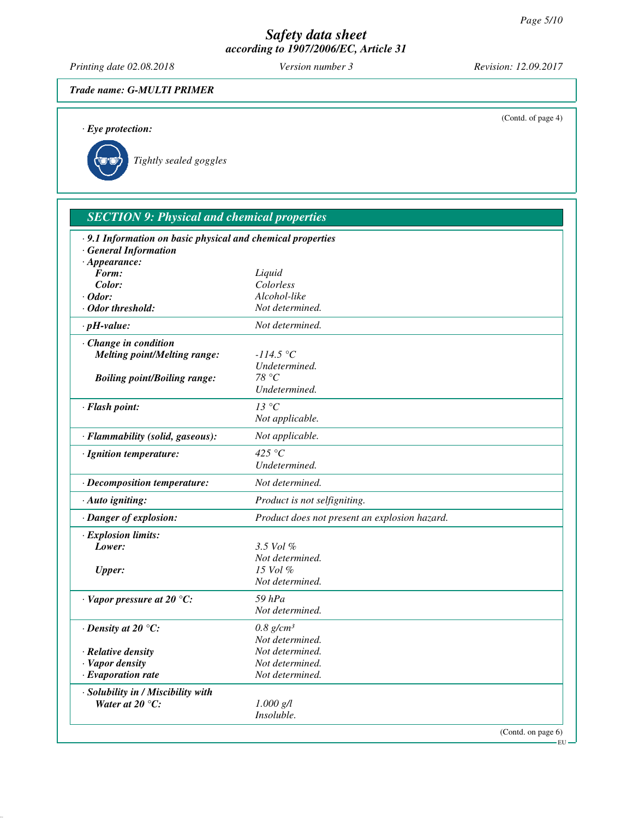*Printing date 02.08.2018 Version number 3 Revision: 12.09.2017*

# *Trade name: G-MULTI PRIMER*

| $\cdot$ Eye protection:                                                                             | (Contd. of page 4)                                     |
|-----------------------------------------------------------------------------------------------------|--------------------------------------------------------|
| Tightly sealed goggles                                                                              |                                                        |
| <b>SECTION 9: Physical and chemical properties</b>                                                  |                                                        |
| · 9.1 Information on basic physical and chemical properties<br>· General Information                |                                                        |
| $\cdot$ Appearance:<br>Form:<br>Color:<br>$\cdot$ Odor:<br>$\cdot$ Odor threshold:                  | Liquid<br>Colorless<br>Alcohol-like<br>Not determined. |
| $\cdot$ pH-value:                                                                                   | Not determined.                                        |
| · Change in condition<br><b>Melting point/Melting range:</b><br><b>Boiling point/Boiling range:</b> | $-114.5 °C$<br>Undetermined.<br>78 °C                  |
| · Flash point:                                                                                      | Undetermined.<br>$13\text{ °C}$<br>Not applicable.     |
| · Flammability (solid, gaseous):                                                                    | Not applicable.                                        |
| · Ignition temperature:                                                                             | 425 $\degree$ C<br>Undetermined.                       |
| · Decomposition temperature:                                                                        | Not determined.                                        |
| $\cdot$ Auto igniting:                                                                              | Product is not selfigniting.                           |
| · Danger of explosion:                                                                              | Product does not present an explosion hazard.          |
| $\cdot$ Explosion limits:<br>Lower:                                                                 | 3.5 Vol %<br>Not determined.                           |
| <b>Upper:</b>                                                                                       | 15 Vol $\%$<br>Not determined.                         |
| $\cdot$ Vapor pressure at 20 °C:                                                                    | $59$ $hPa$<br>Not determined.                          |
| $\cdot$ Density at 20 $\degree$ C:                                                                  | $0.8$ g/cm <sup>3</sup><br>Not determined.             |
| · Relative density<br>· Vapor density<br>$\cdot$ Evaporation rate                                   | Not determined.<br>Not determined.<br>Not determined.  |
| · Solubility in / Miscibility with<br>Water at $20^{\circ}$ C:                                      | $1.000$ g/l<br>Insoluble.                              |

(Contd. on page 6)

EU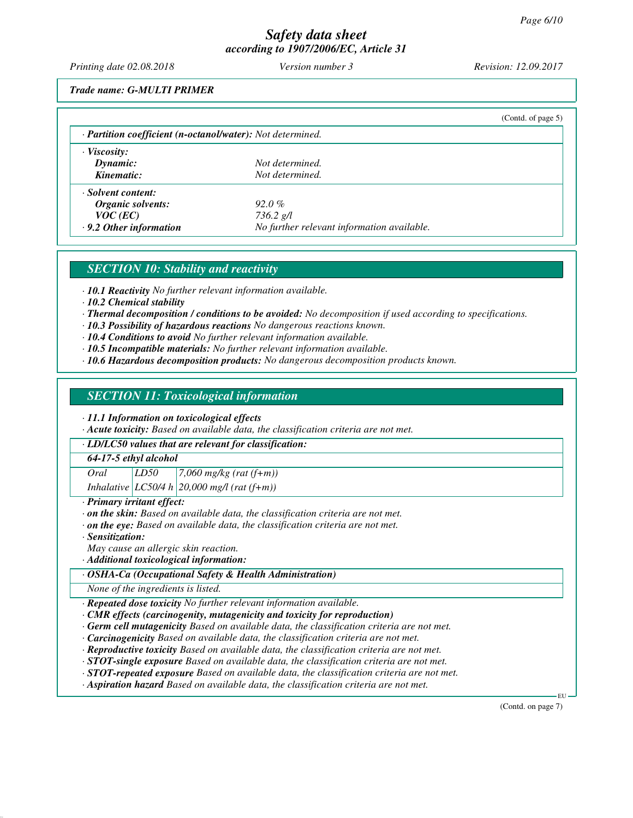*Printing date 02.08.2018 Version number 3 Revision: 12.09.2017*

*Trade name: G-MULTI PRIMER*

| · Partition coefficient (n-octanol/water): Not determined. |                                            |  |
|------------------------------------------------------------|--------------------------------------------|--|
| $\cdot$ Viscosity:                                         |                                            |  |
| Dynamic:                                                   | Not determined.                            |  |
| Kinematic:                                                 | Not determined.                            |  |
| · Solvent content:                                         |                                            |  |
| Organic solvents:                                          | $92.0\%$                                   |  |
| $VOC$ (EC)                                                 | $736.2$ g/l                                |  |
| $\cdot$ 9.2 Other information                              | No further relevant information available. |  |

# *SECTION 10: Stability and reactivity*

*· 10.1 Reactivity No further relevant information available.*

*· 10.2 Chemical stability*

*· Thermal decomposition / conditions to be avoided: No decomposition if used according to specifications.*

*· 10.3 Possibility of hazardous reactions No dangerous reactions known.*

*· 10.4 Conditions to avoid No further relevant information available.*

- *· 10.5 Incompatible materials: No further relevant information available.*
- *· 10.6 Hazardous decomposition products: No dangerous decomposition products known.*

#### *SECTION 11: Toxicological information*

*· 11.1 Information on toxicological effects*

*· Acute toxicity: Based on available data, the classification criteria are not met.*

*· LD/LC50 values that are relevant for classification:*

*64-17-5 ethyl alcohol*

*Oral LD50 7,060 mg/kg (rat (f+m)) Inhalative LC50/4 h 20,000 mg/l (rat (f+m))*

*· Primary irritant effect:*

- *· on the skin: Based on available data, the classification criteria are not met.*
- *· on the eye: Based on available data, the classification criteria are not met.*

*· Sensitization:*

*May cause an allergic skin reaction.*

*· Additional toxicological information:*

*· OSHA-Ca (Occupational Safety & Health Administration)*

*None of the ingredients is listed.*

*· Repeated dose toxicity No further relevant information available.*

*· CMR effects (carcinogenity, mutagenicity and toxicity for reproduction)*

*· Germ cell mutagenicity Based on available data, the classification criteria are not met.*

*· Carcinogenicity Based on available data, the classification criteria are not met.*

*· Reproductive toxicity Based on available data, the classification criteria are not met.*

*· STOT-single exposure Based on available data, the classification criteria are not met.*

*· STOT-repeated exposure Based on available data, the classification criteria are not met.*

*· Aspiration hazard Based on available data, the classification criteria are not met.*

(Contd. on page 7)

EU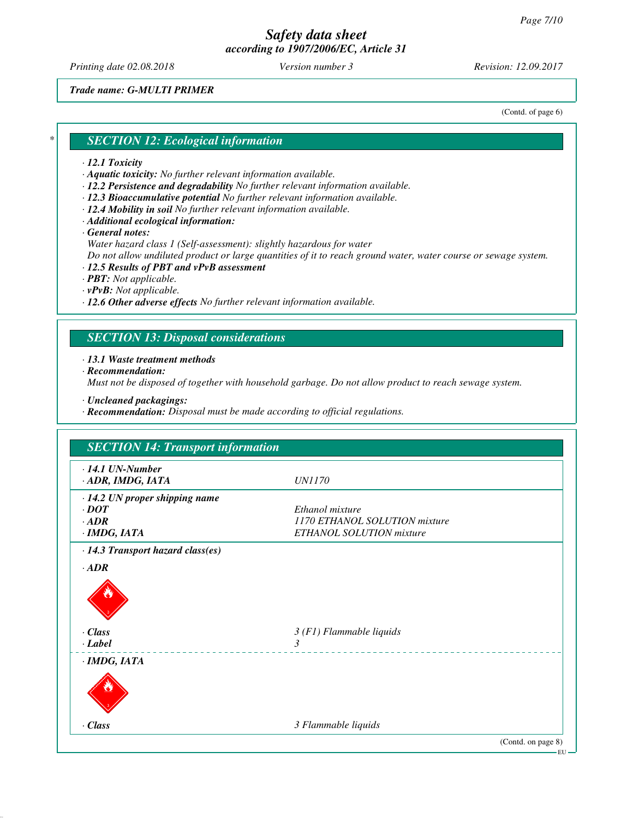*Printing date 02.08.2018 Version number 3 Revision: 12.09.2017*

*Trade name: G-MULTI PRIMER*

(Contd. of page 6)

#### *\* SECTION 12: Ecological information*

#### *· 12.1 Toxicity*

- *· Aquatic toxicity: No further relevant information available.*
- *· 12.2 Persistence and degradability No further relevant information available.*
- *· 12.3 Bioaccumulative potential No further relevant information available.*
- *· 12.4 Mobility in soil No further relevant information available.*
- *· Additional ecological information:*
- *· General notes:*

*Water hazard class 1 (Self-assessment): slightly hazardous for water*

*Do not allow undiluted product or large quantities of it to reach ground water, water course or sewage system.*

- *· 12.5 Results of PBT and vPvB assessment*
- *· PBT: Not applicable.*
- *· vPvB: Not applicable.*
- *· 12.6 Other adverse effects No further relevant information available.*

# *SECTION 13: Disposal considerations*

*· 13.1 Waste treatment methods*

*· Recommendation:*

*Must not be disposed of together with household garbage. Do not allow product to reach sewage system.*

- *· Uncleaned packagings:*
- *· Recommendation: Disposal must be made according to official regulations.*

| $\cdot$ 14.1 UN-Number<br>· ADR, IMDG, IATA | <i>UN1170</i>                 |
|---------------------------------------------|-------------------------------|
| · 14.2 UN proper shipping name              |                               |
| $\cdot$ DOT                                 | Ethanol mixture               |
| $\cdot$ ADR                                 | 1170 ETHANOL SOLUTION mixture |
| $·$ <i>IMDG, IATA</i>                       | ETHANOL SOLUTION mixture      |
| $\cdot$ 14.3 Transport hazard class(es)     |                               |
| $\cdot$ <i>ADR</i>                          |                               |
|                                             |                               |
| $\cdot$ Class                               | $3(F1)$ Flammable liquids     |
| $\cdot$ Label                               | $\mathcal{E}$                 |
|                                             |                               |
| $\cdot$ IMDG, IATA                          |                               |
|                                             |                               |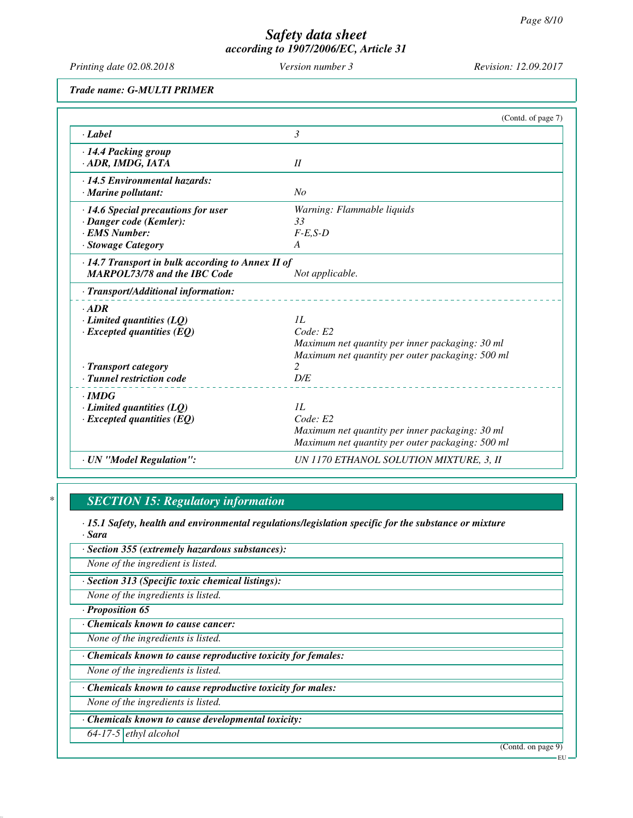# *Safety data sheet*

| Version number 3<br>Revision: 12.09.2017<br>Printing date 02.08.2018<br><b>Trade name: G-MULTI PRIMER</b><br>(Contd. of page 7)<br>$\mathfrak{Z}$<br>· Label<br>· 14.4 Packing group<br>II<br>· ADR, IMDG, IATA<br>· 14.5 Environmental hazards:<br>N <sub>O</sub><br>· Marine pollutant:<br>Warning: Flammable liquids<br>$\cdot$ 14.6 Special precautions for user<br>33<br>· Danger code (Kemler):<br><b>EMS Number:</b><br>$F-E,S-D$<br><b>Stowage Category</b><br>A<br>$\cdot$ 14.7 Transport in bulk according to Annex II of<br><b>MARPOL73/78 and the IBC Code</b><br>Not applicable.<br>· Transport/Additional information:<br>$\cdot$ ADR<br>1L<br>$\cdot$ Limited quantities (LQ)<br>Code: E2<br>$\cdot$ Excepted quantities (EQ)<br>Maximum net quantity per inner packaging: 30 ml<br>Maximum net quantity per outer packaging: 500 ml<br>$\overline{c}$<br>· Transport category<br>· Tunnel restriction code<br>D/E<br>$\cdot$ IMDG<br>$\cdot$ Limited quantities (LQ)<br>1L<br>Code: E2<br>$\cdot$ Excepted quantities (EQ)<br>Maximum net quantity per inner packaging: 30 ml<br>Maximum net quantity per outer packaging: 500 ml<br>· UN "Model Regulation":<br>UN 1170 ETHANOL SOLUTION MIXTURE, 3, II | according to 1907/2006/EC, Article 31 |  |
|--------------------------------------------------------------------------------------------------------------------------------------------------------------------------------------------------------------------------------------------------------------------------------------------------------------------------------------------------------------------------------------------------------------------------------------------------------------------------------------------------------------------------------------------------------------------------------------------------------------------------------------------------------------------------------------------------------------------------------------------------------------------------------------------------------------------------------------------------------------------------------------------------------------------------------------------------------------------------------------------------------------------------------------------------------------------------------------------------------------------------------------------------------------------------------------------------------------------------|---------------------------------------|--|
|                                                                                                                                                                                                                                                                                                                                                                                                                                                                                                                                                                                                                                                                                                                                                                                                                                                                                                                                                                                                                                                                                                                                                                                                                          |                                       |  |
|                                                                                                                                                                                                                                                                                                                                                                                                                                                                                                                                                                                                                                                                                                                                                                                                                                                                                                                                                                                                                                                                                                                                                                                                                          |                                       |  |
|                                                                                                                                                                                                                                                                                                                                                                                                                                                                                                                                                                                                                                                                                                                                                                                                                                                                                                                                                                                                                                                                                                                                                                                                                          |                                       |  |
|                                                                                                                                                                                                                                                                                                                                                                                                                                                                                                                                                                                                                                                                                                                                                                                                                                                                                                                                                                                                                                                                                                                                                                                                                          |                                       |  |
|                                                                                                                                                                                                                                                                                                                                                                                                                                                                                                                                                                                                                                                                                                                                                                                                                                                                                                                                                                                                                                                                                                                                                                                                                          |                                       |  |
|                                                                                                                                                                                                                                                                                                                                                                                                                                                                                                                                                                                                                                                                                                                                                                                                                                                                                                                                                                                                                                                                                                                                                                                                                          |                                       |  |
|                                                                                                                                                                                                                                                                                                                                                                                                                                                                                                                                                                                                                                                                                                                                                                                                                                                                                                                                                                                                                                                                                                                                                                                                                          |                                       |  |
|                                                                                                                                                                                                                                                                                                                                                                                                                                                                                                                                                                                                                                                                                                                                                                                                                                                                                                                                                                                                                                                                                                                                                                                                                          |                                       |  |
|                                                                                                                                                                                                                                                                                                                                                                                                                                                                                                                                                                                                                                                                                                                                                                                                                                                                                                                                                                                                                                                                                                                                                                                                                          |                                       |  |
|                                                                                                                                                                                                                                                                                                                                                                                                                                                                                                                                                                                                                                                                                                                                                                                                                                                                                                                                                                                                                                                                                                                                                                                                                          |                                       |  |
|                                                                                                                                                                                                                                                                                                                                                                                                                                                                                                                                                                                                                                                                                                                                                                                                                                                                                                                                                                                                                                                                                                                                                                                                                          |                                       |  |
|                                                                                                                                                                                                                                                                                                                                                                                                                                                                                                                                                                                                                                                                                                                                                                                                                                                                                                                                                                                                                                                                                                                                                                                                                          |                                       |  |

# *\* SECTION 15: Regulatory information*

*· 15.1 Safety, health and environmental regulations/legislation specific for the substance or mixture · Sara*

*· Section 355 (extremely hazardous substances):*

*None of the ingredient is listed.*

*· Section 313 (Specific toxic chemical listings):*

*None of the ingredients is listed.*

*· Proposition 65*

*· Chemicals known to cause cancer:*

*None of the ingredients is listed.*

*· Chemicals known to cause reproductive toxicity for females:*

*None of the ingredients is listed.*

*· Chemicals known to cause reproductive toxicity for males:*

*None of the ingredients is listed.*

*· Chemicals known to cause developmental toxicity:*

*64-17-5 ethyl alcohol*

(Contd. on page 9)

EU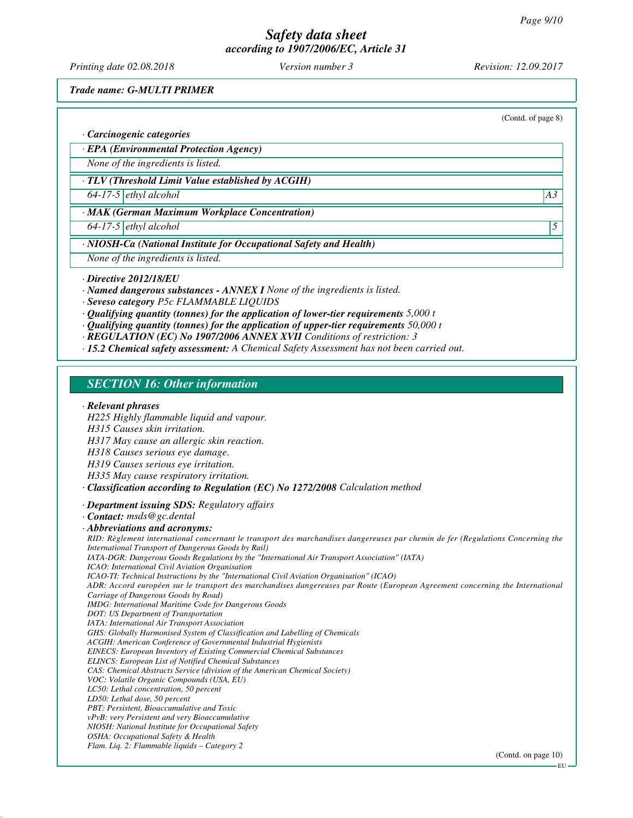*Printing date 02.08.2018 Version number 3 Revision: 12.09.2017*

*Trade name: G-MULTI PRIMER*

(Contd. of page 8)

*· Carcinogenic categories*

*· EPA (Environmental Protection Agency)*

*None of the ingredients is listed.*

*· TLV (Threshold Limit Value established by ACGIH)*

*64-17-5 ethyl alcohol A3*

*· MAK (German Maximum Workplace Concentration)*

*64-17-5 ethyl alcohol 5* 

*· NIOSH-Ca (National Institute for Occupational Safety and Health)*

*None of the ingredients is listed.*

*· Directive 2012/18/EU*

*· Named dangerous substances - ANNEX I None of the ingredients is listed.*

*· Seveso category P5c FLAMMABLE LIQUIDS*

*· Qualifying quantity (tonnes) for the application of lower-tier requirements 5,000 t*

*· Qualifying quantity (tonnes) for the application of upper-tier requirements 50,000 t*

*· REGULATION (EC) No 1907/2006 ANNEX XVII Conditions of restriction: 3*

*· 15.2 Chemical safety assessment: A Chemical Safety Assessment has not been carried out.*

# *SECTION 16: Other information*

#### *· Relevant phrases*

*H225 Highly flammable liquid and vapour.*

*H315 Causes skin irritation.*

*H317 May cause an allergic skin reaction.*

*H318 Causes serious eye damage.*

*H319 Causes serious eye irritation.*

*H335 May cause respiratory irritation.*

*· Classification according to Regulation (EC) No 1272/2008 Calculation method*

*· Department issuing SDS: Regulatory affairs*

*· Contact: msds@gc.dental*

*· Abbreviations and acronyms:*

*RID: Règlement international concernant le transport des marchandises dangereuses par chemin de fer (Regulations Concerning the International Transport of Dangerous Goods by Rail) IATA-DGR: Dangerous Goods Regulations by the "International Air Transport Association" (IATA) ICAO: International Civil Aviation Organisation ICAO-TI: Technical Instructions by the "International Civil Aviation Organisation" (ICAO) ADR: Accord européen sur le transport des marchandises dangereuses par Route (European Agreement concerning the International Carriage of Dangerous Goods by Road) IMDG: International Maritime Code for Dangerous Goods DOT: US Department of Transportation IATA: International Air Transport Association GHS: Globally Harmonised System of Classification and Labelling of Chemicals ACGIH: American Conference of Governmental Industrial Hygienists EINECS: European Inventory of Existing Commercial Chemical Substances ELINCS: European List of Notified Chemical Substances CAS: Chemical Abstracts Service (division of the American Chemical Society) VOC: Volatile Organic Compounds (USA, EU) LC50: Lethal concentration, 50 percent LD50: Lethal dose, 50 percent PBT: Persistent, Bioaccumulative and Toxic vPvB: very Persistent and very Bioaccumulative NIOSH: National Institute for Occupational Safety OSHA: Occupational Safety & Health Flam. Liq. 2: Flammable liquids – Category 2*

(Contd. on page 10)